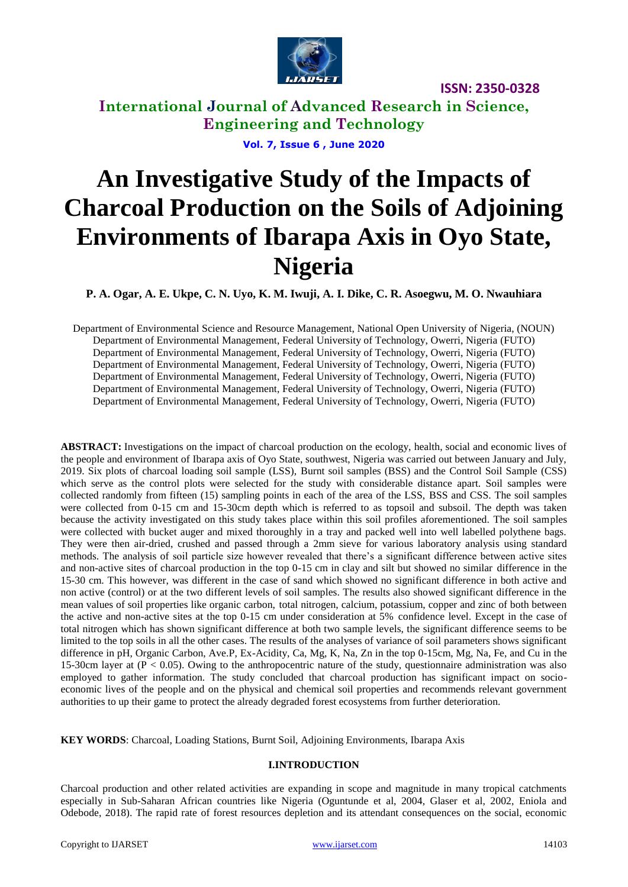

## **International Journal of Advanced Research in Science, Engineering and Technology**

**Vol. 7, Issue 6 , June 2020**

# **An Investigative Study of the Impacts of Charcoal Production on the Soils of Adjoining Environments of Ibarapa Axis in Oyo State, Nigeria**

**P. A. Ogar, A. E. Ukpe, C. N. Uyo, K. M. Iwuji, A. I. Dike, C. R. Asoegwu, M. O. Nwauhiara**

Department of Environmental Science and Resource Management, National Open University of Nigeria, (NOUN) Department of Environmental Management, Federal University of Technology, Owerri, Nigeria (FUTO) Department of Environmental Management, Federal University of Technology, Owerri, Nigeria (FUTO) Department of Environmental Management, Federal University of Technology, Owerri, Nigeria (FUTO) Department of Environmental Management, Federal University of Technology, Owerri, Nigeria (FUTO) Department of Environmental Management, Federal University of Technology, Owerri, Nigeria (FUTO) Department of Environmental Management, Federal University of Technology, Owerri, Nigeria (FUTO)

**ABSTRACT:** Investigations on the impact of charcoal production on the ecology, health, social and economic lives of the people and environment of Ibarapa axis of Oyo State, southwest, Nigeria was carried out between January and July, 2019. Six plots of charcoal loading soil sample (LSS), Burnt soil samples (BSS) and the Control Soil Sample (CSS) which serve as the control plots were selected for the study with considerable distance apart. Soil samples were collected randomly from fifteen (15) sampling points in each of the area of the LSS, BSS and CSS. The soil samples were collected from 0-15 cm and 15-30cm depth which is referred to as topsoil and subsoil. The depth was taken because the activity investigated on this study takes place within this soil profiles aforementioned. The soil samples were collected with bucket auger and mixed thoroughly in a tray and packed well into well labelled polythene bags. They were then air-dried, crushed and passed through a 2mm sieve for various laboratory analysis using standard methods. The analysis of soil particle size however revealed that there's a significant difference between active sites and non-active sites of charcoal production in the top 0-15 cm in clay and silt but showed no similar difference in the 15-30 cm. This however, was different in the case of sand which showed no significant difference in both active and non active (control) or at the two different levels of soil samples. The results also showed significant difference in the mean values of soil properties like organic carbon, total nitrogen, calcium, potassium, copper and zinc of both between the active and non-active sites at the top 0-15 cm under consideration at 5% confidence level. Except in the case of total nitrogen which has shown significant difference at both two sample levels, the significant difference seems to be limited to the top soils in all the other cases. The results of the analyses of variance of soil parameters shows significant difference in pH, Organic Carbon, Ave.P, Ex-Acidity, Ca, Mg, K, Na, Zn in the top 0-15cm, Mg, Na, Fe, and Cu in the 15-30cm layer at  $(P < 0.05)$ . Owing to the anthropocentric nature of the study, questionnaire administration was also employed to gather information. The study concluded that charcoal production has significant impact on socioeconomic lives of the people and on the physical and chemical soil properties and recommends relevant government authorities to up their game to protect the already degraded forest ecosystems from further deterioration.

**KEY WORDS**: Charcoal, Loading Stations, Burnt Soil, Adjoining Environments, Ibarapa Axis

### **I.INTRODUCTION**

Charcoal production and other related activities are expanding in scope and magnitude in many tropical catchments especially in Sub-Saharan African countries like Nigeria (Oguntunde et al, 2004, Glaser et al, 2002, Eniola and Odebode, 2018). The rapid rate of forest resources depletion and its attendant consequences on the social, economic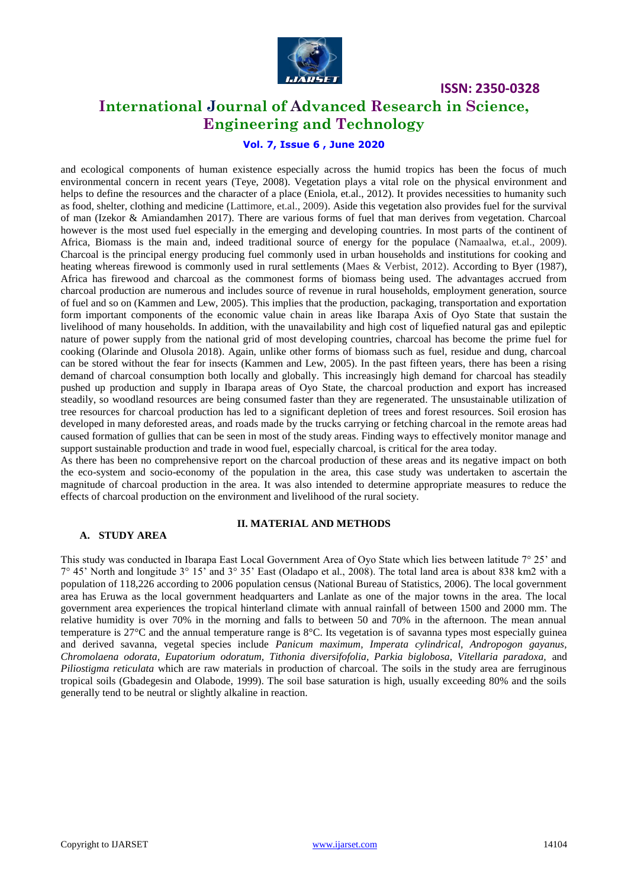

### **International Journal of Advanced Research in Science, Engineering and Technology**

### **Vol. 7, Issue 6 , June 2020**

and ecological components of human existence especially across the humid tropics has been the focus of much environmental concern in recent years (Teye, 2008). Vegetation plays a vital role on the physical environment and helps to define the resources and the character of a place (Eniola, et.al., 2012). It provides necessities to humanity such as food, shelter, clothing and medicine (Lattimore, et.al., 2009). Aside this vegetation also provides fuel for the survival of man (Izekor & Amiandamhen 2017). There are various forms of fuel that man derives from vegetation. Charcoal however is the most used fuel especially in the emerging and developing countries. In most parts of the continent of Africa, Biomass is the main and, indeed traditional source of energy for the populace (Namaalwa, et.al., 2009). Charcoal is the principal energy producing fuel commonly used in urban households and institutions for cooking and heating whereas firewood is commonly used in rural settlements (Maes & Verbist, 2012). According to Byer (1987), Africa has firewood and charcoal as the commonest forms of biomass being used. The advantages accrued from charcoal production are numerous and includes source of revenue in rural households, employment generation, source of fuel and so on (Kammen and Lew, 2005). This implies that the production, packaging, transportation and exportation form important components of the economic value chain in areas like Ibarapa Axis of Oyo State that sustain the livelihood of many households. In addition, with the unavailability and high cost of liquefied natural gas and epileptic nature of power supply from the national grid of most developing countries, charcoal has become the prime fuel for cooking (Olarinde and Olusola 2018). Again, unlike other forms of biomass such as fuel, residue and dung, charcoal can be stored without the fear for insects (Kammen and Lew, 2005). In the past fifteen years, there has been a rising demand of charcoal consumption both locally and globally. This increasingly high demand for charcoal has steadily pushed up production and supply in Ibarapa areas of Oyo State, the charcoal production and export has increased steadily, so woodland resources are being consumed faster than they are regenerated. The unsustainable utilization of tree resources for charcoal production has led to a significant depletion of trees and forest resources. Soil erosion has developed in many deforested areas, and roads made by the trucks carrying or fetching charcoal in the remote areas had caused formation of gullies that can be seen in most of the study areas. Finding ways to effectively monitor manage and support sustainable production and trade in wood fuel, especially charcoal, is critical for the area today.

As there has been no comprehensive report on the charcoal production of these areas and its negative impact on both the eco-system and socio-economy of the population in the area, this case study was undertaken to ascertain the magnitude of charcoal production in the area. It was also intended to determine appropriate measures to reduce the effects of charcoal production on the environment and livelihood of the rural society.

#### **A. STUDY AREA**

#### **II. MATERIAL AND METHODS**

This study was conducted in Ibarapa East Local Government Area of Oyo State which lies between latitude 7° 25' and 7° 45' North and longitude 3° 15' and 3° 35' East (Oladapo et al., 2008). The total land area is about 838 km2 with a population of 118,226 according to 2006 population census (National Bureau of Statistics, 2006). The local government area has Eruwa as the local government headquarters and Lanlate as one of the major towns in the area. The local government area experiences the tropical hinterland climate with annual rainfall of between 1500 and 2000 mm. The relative humidity is over 70% in the morning and falls to between 50 and 70% in the afternoon. The mean annual temperature is  $27^{\circ}$ C and the annual temperature range is  $8^{\circ}$ C. Its vegetation is of savanna types most especially guinea and derived savanna, vegetal species include *Panicum maximum, Imperata cylindrical, Andropogon gayanus, Chromolaena odorata, Eupatorium odoratum, Tithonia diversifofolia, Parkia biglobosa, Vitellaria paradoxa,* and *Piliostigma reticulata* which are raw materials in production of charcoal. The soils in the study area are ferruginous tropical soils (Gbadegesin and Olabode, 1999). The soil base saturation is high, usually exceeding 80% and the soils generally tend to be neutral or slightly alkaline in reaction.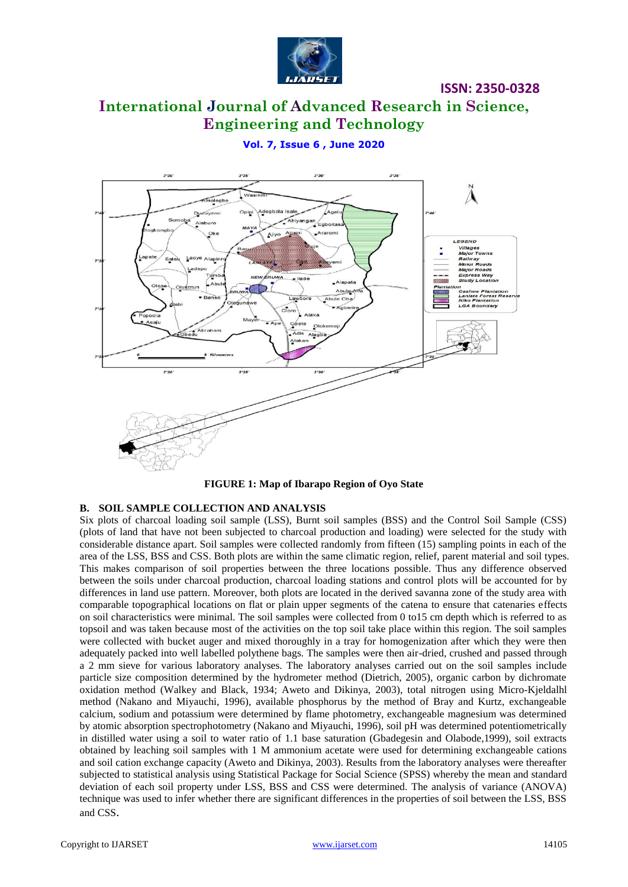

### **International Journal of Advanced Research in Science, Engineering and Technology**

### **Vol. 7, Issue 6 , June 2020**



**FIGURE 1: Map of Ibarapo Region of Oyo State**

### **B. SOIL SAMPLE COLLECTION AND ANALYSIS**

Six plots of charcoal loading soil sample (LSS), Burnt soil samples (BSS) and the Control Soil Sample (CSS) (plots of land that have not been subjected to charcoal production and loading) were selected for the study with considerable distance apart. Soil samples were collected randomly from fifteen (15) sampling points in each of the area of the LSS, BSS and CSS. Both plots are within the same climatic region, relief, parent material and soil types. This makes comparison of soil properties between the three locations possible. Thus any difference observed between the soils under charcoal production, charcoal loading stations and control plots will be accounted for by differences in land use pattern. Moreover, both plots are located in the derived savanna zone of the study area with comparable topographical locations on flat or plain upper segments of the catena to ensure that catenaries effects on soil characteristics were minimal. The soil samples were collected from 0 to15 cm depth which is referred to as topsoil and was taken because most of the activities on the top soil take place within this region. The soil samples were collected with bucket auger and mixed thoroughly in a tray for homogenization after which they were then adequately packed into well labelled polythene bags. The samples were then air-dried, crushed and passed through a 2 mm sieve for various laboratory analyses. The laboratory analyses carried out on the soil samples include particle size composition determined by the hydrometer method (Dietrich, 2005), organic carbon by dichromate oxidation method (Walkey and Black, 1934; Aweto and Dikinya, 2003), total nitrogen using Micro-Kjeldalhl method (Nakano and Miyauchi, 1996), available phosphorus by the method of Bray and Kurtz, exchangeable calcium, sodium and potassium were determined by flame photometry, exchangeable magnesium was determined by atomic absorption spectrophotometry (Nakano and Miyauchi, 1996), soil pH was determined potentiometrically in distilled water using a soil to water ratio of 1.1 base saturation (Gbadegesin and Olabode,1999), soil extracts obtained by leaching soil samples with 1 M ammonium acetate were used for determining exchangeable cations and soil cation exchange capacity (Aweto and Dikinya, 2003). Results from the laboratory analyses were thereafter subjected to statistical analysis using Statistical Package for Social Science (SPSS) whereby the mean and standard deviation of each soil property under LSS, BSS and CSS were determined. The analysis of variance (ANOVA) technique was used to infer whether there are significant differences in the properties of soil between the LSS, BSS and CSS.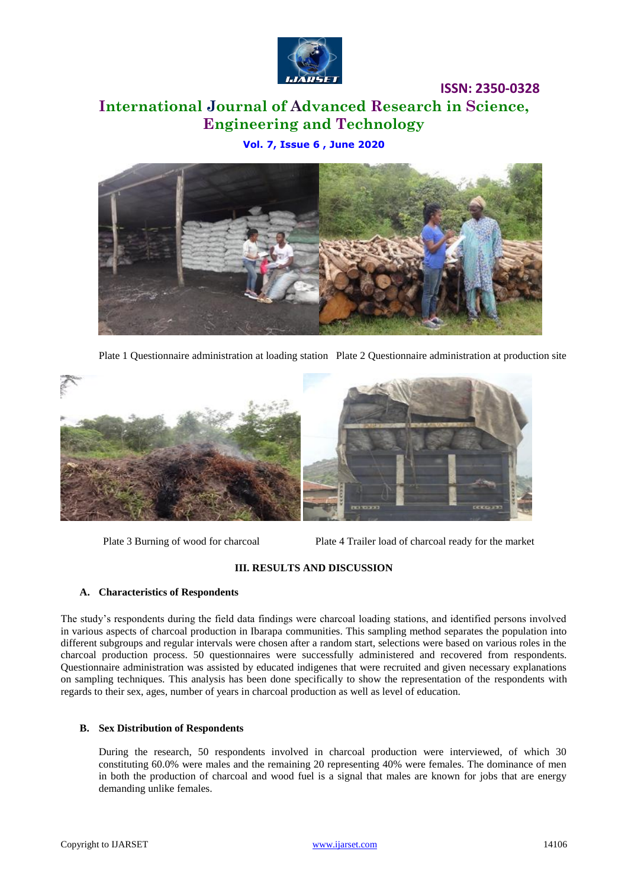

# **International Journal of Advanced Research in Science, Engineering and Technology**

**Vol. 7, Issue 6 , June 2020**



Plate 1 Questionnaire administration at loading station Plate 2 Questionnaire administration at production site



Plate 3 Burning of wood for charcoal Plate 4 Trailer load of charcoal ready for the market

**ISSN: 2350-0328**

### **III. RESULTS AND DISCUSSION**

### **A. Characteristics of Respondents**

The study's respondents during the field data findings were charcoal loading stations, and identified persons involved in various aspects of charcoal production in Ibarapa communities. This sampling method separates the population into different subgroups and regular intervals were chosen after a random start, selections were based on various roles in the charcoal production process. 50 questionnaires were successfully administered and recovered from respondents. Questionnaire administration was assisted by educated indigenes that were recruited and given necessary explanations on sampling techniques. This analysis has been done specifically to show the representation of the respondents with regards to their sex, ages, number of years in charcoal production as well as level of education.

### **B. Sex Distribution of Respondents**

During the research, 50 respondents involved in charcoal production were interviewed, of which 30 constituting 60.0% were males and the remaining 20 representing 40% were females. The dominance of men in both the production of charcoal and wood fuel is a signal that males are known for jobs that are energy demanding unlike females.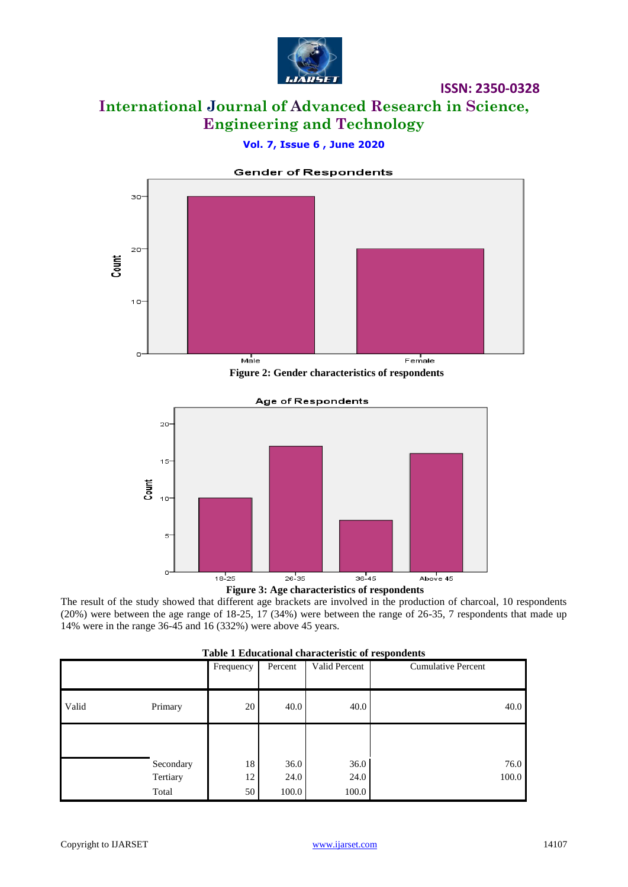

# **International Journal of Advanced Research in Science, Engineering and Technology**

**ISSN: 2350-0328**

### **Vol. 7, Issue 6 , June 2020**



 **Figure 2: Gender characteristics of respondents**





The result of the study showed that different age brackets are involved in the production of charcoal, 10 respondents (20%) were between the age range of 18-25, 17 (34%) were between the range of 26-35, 7 respondents that made up 14% were in the range 36-45 and 16 (332%) were above 45 years.

| Table 1 Educational characteristic of respondents |           |           |         |               |                           |
|---------------------------------------------------|-----------|-----------|---------|---------------|---------------------------|
|                                                   |           | Frequency | Percent | Valid Percent | <b>Cumulative Percent</b> |
| Valid                                             | Primary   | 20        | 40.0    | 40.0          | 40.0                      |
|                                                   |           |           |         |               |                           |
|                                                   | Secondary | 18        | 36.0    | 36.0          | 76.0                      |
|                                                   | Tertiary  | 12        | 24.0    | 24.0          | 100.0                     |
|                                                   | Total     | 50        | 100.0   | 100.0         |                           |

### **Table 1 Educational characteristic of respondents**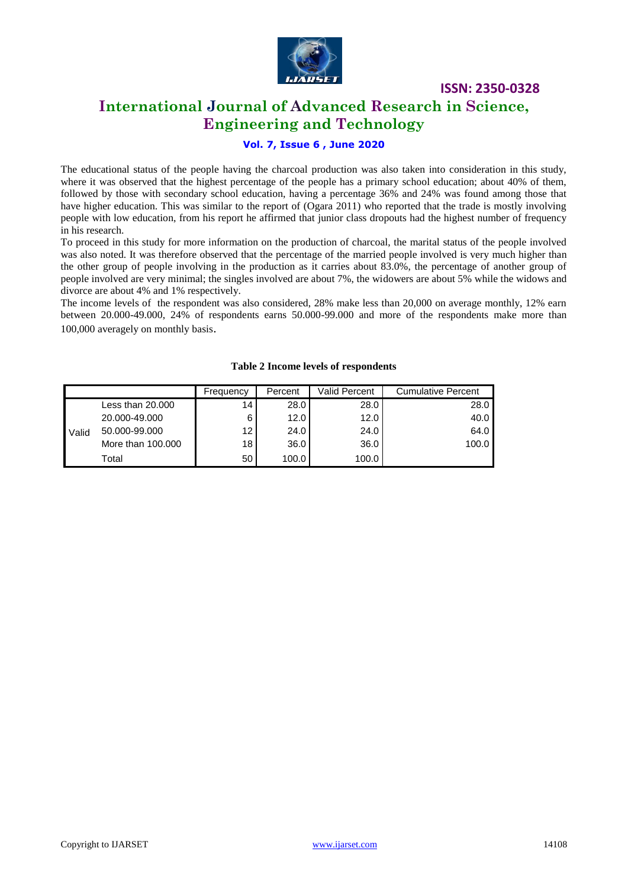

### **International Journal of Advanced Research in Science, Engineering and Technology**

### **Vol. 7, Issue 6 , June 2020**

The educational status of the people having the charcoal production was also taken into consideration in this study, where it was observed that the highest percentage of the people has a primary school education; about 40% of them, followed by those with secondary school education, having a percentage 36% and 24% was found among those that have higher education. This was similar to the report of (Ogara 2011) who reported that the trade is mostly involving people with low education, from his report he affirmed that junior class dropouts had the highest number of frequency in his research.

To proceed in this study for more information on the production of charcoal, the marital status of the people involved was also noted. It was therefore observed that the percentage of the married people involved is very much higher than the other group of people involving in the production as it carries about 83.0%, the percentage of another group of people involved are very minimal; the singles involved are about 7%, the widowers are about 5% while the widows and divorce are about 4% and 1% respectively.

The income levels of the respondent was also considered, 28% make less than 20,000 on average monthly, 12% earn between 20.000-49.000, 24% of respondents earns 50.000-99.000 and more of the respondents make more than 100,000 averagely on monthly basis.

|       |                   | Frequency       | Percent | Valid Percent | <b>Cumulative Percent</b> |
|-------|-------------------|-----------------|---------|---------------|---------------------------|
|       | Less than 20.000  | 14              | 28.0    | 28.0          | 28.0                      |
|       | 20.000-49.000     | 6               | 12.0    | 12.0          | 40.0                      |
| Valid | 50.000-99.000     | 12 I            | 24.0    | 24.0          | 64.0                      |
|       | More than 100,000 | 18 <sup>1</sup> | 36.0    | 36.0          | 100.0                     |
|       | Total             | 50              | 100.0   | 100.0         |                           |

#### **Table 2 Income levels of respondents**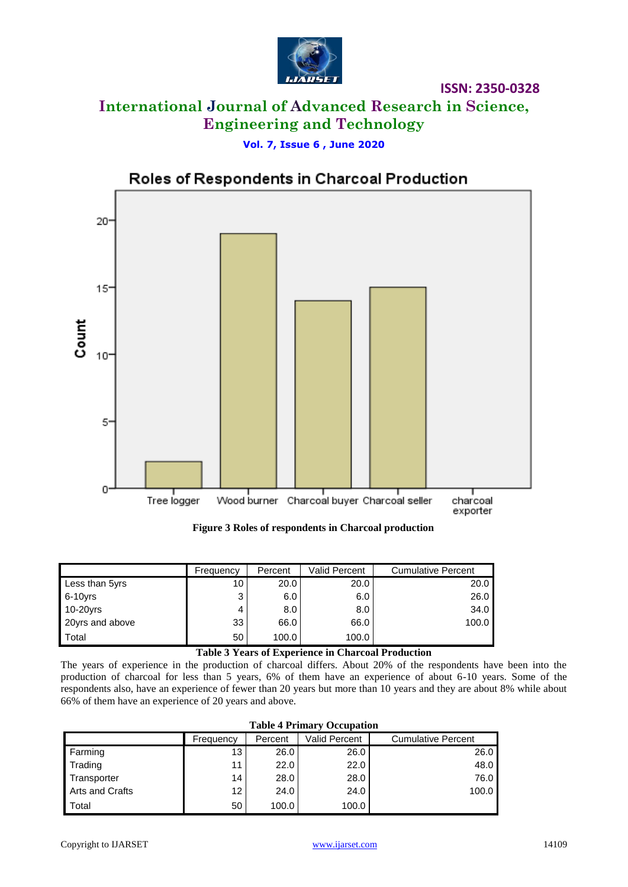

# **International Journal of Advanced Research in Science, Engineering and Technology**

### **Vol. 7, Issue 6 , June 2020**



### Roles of Respondents in Charcoal Production

 **Figure 3 Roles of respondents in Charcoal production**

|                 | Frequency | Percent | Valid Percent | <b>Cumulative Percent</b> |
|-----------------|-----------|---------|---------------|---------------------------|
| Less than 5yrs  | 10        | 20.0    | 20.0          | 20.0                      |
| $6-10$ vrs      | 3         | 6.0     | 6.0           | 26.0                      |
| 10-20yrs        |           | 8.0     | 8.0           | 34.0                      |
| 20yrs and above | 33        | 66.0    | 66.0          | 100.0                     |
| Total           | 50        | 100.0   | 100.0         |                           |

### **Table 3 Years of Experience in Charcoal Production**

The years of experience in the production of charcoal differs. About 20% of the respondents have been into the production of charcoal for less than 5 years, 6% of them have an experience of about 6-10 years. Some of the respondents also, have an experience of fewer than 20 years but more than 10 years and they are about 8% while about 66% of them have an experience of 20 years and above.

### **Table 4 Primary Occupation**

|                        | Frequency         | Percent | Valid Percent | <b>Cumulative Percent</b> |
|------------------------|-------------------|---------|---------------|---------------------------|
| Farming                | 13                | 26.0    | 26.0          | 26.0                      |
| Trading                | 11                | 22.0    | 22.0          | 48.0                      |
| Transporter            | 14                | 28.0    | 28.0          | 76.0                      |
| <b>Arts and Crafts</b> | $12 \overline{ }$ | 24.0    | 24.0          | 100.0                     |
| <b>I</b> Total         | 50                | 100.0   | 100.0         |                           |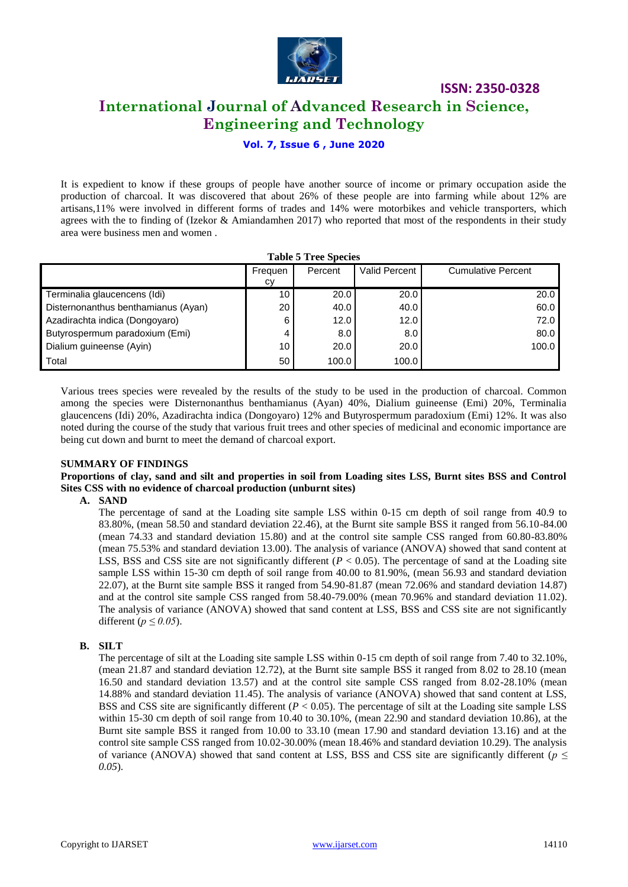

### **International Journal of Advanced Research in Science, Engineering and Technology**

### **Vol. 7, Issue 6 , June 2020**

It is expedient to know if these groups of people have another source of income or primary occupation aside the production of charcoal. It was discovered that about 26% of these people are into farming while about 12% are artisans,11% were involved in different forms of trades and 14% were motorbikes and vehicle transporters, which agrees with the to finding of (Izekor & Amiandamhen 2017) who reported that most of the respondents in their study area were business men and women .

| <b>Table 5 Tree Species</b>         |                 |         |               |                           |  |  |
|-------------------------------------|-----------------|---------|---------------|---------------------------|--|--|
|                                     | Frequen         | Percent | Valid Percent | <b>Cumulative Percent</b> |  |  |
|                                     | CV              |         |               |                           |  |  |
| Terminalia glaucencens (Idi)        | 10 <sup>1</sup> | 20.0    | 20.0          | 20.0                      |  |  |
| Disternonanthus benthamianus (Ayan) | 20              | 40.0    | 40.0          | 60.0                      |  |  |
| Azadirachta indica (Dongoyaro)      | 6               | 12.0    | 12.0          | 72.0                      |  |  |
| Butyrospermum paradoxium (Emi)      | 4               | 8.0     | 8.0           | 80.0                      |  |  |
| Dialium guineense (Ayin)            | 10              | 20.0    | 20.0          | 100.0                     |  |  |
| Total                               | 50              | 100.0   | 100.0         |                           |  |  |

Various trees species were revealed by the results of the study to be used in the production of charcoal. Common among the species were Disternonanthus benthamianus (Ayan) 40%, Dialium guineense (Emi) 20%, Terminalia glaucencens (Idi) 20%, Azadirachta indica (Dongoyaro) 12% and Butyrospermum paradoxium (Emi) 12%. It was also noted during the course of the study that various fruit trees and other species of medicinal and economic importance are being cut down and burnt to meet the demand of charcoal export.

### **SUMMARY OF FINDINGS**

**Proportions of clay, sand and silt and properties in soil from Loading sites LSS, Burnt sites BSS and Control Sites CSS with no evidence of charcoal production (unburnt sites)**

**A. SAND**

The percentage of sand at the Loading site sample LSS within 0-15 cm depth of soil range from 40.9 to 83.80%, (mean 58.50 and standard deviation 22.46), at the Burnt site sample BSS it ranged from 56.10-84.00 (mean 74.33 and standard deviation 15.80) and at the control site sample CSS ranged from 60.80-83.80% (mean 75.53% and standard deviation 13.00). The analysis of variance (ANOVA) showed that sand content at LSS, BSS and CSS site are not significantly different  $(P < 0.05)$ . The percentage of sand at the Loading site sample LSS within 15-30 cm depth of soil range from 40.00 to 81.90%, (mean 56.93 and standard deviation 22.07), at the Burnt site sample BSS it ranged from 54.90-81.87 (mean 72.06% and standard deviation 14.87) and at the control site sample CSS ranged from 58.40-79.00% (mean 70.96% and standard deviation 11.02). The analysis of variance (ANOVA) showed that sand content at LSS, BSS and CSS site are not significantly different ( $p \leq 0.05$ ).

### **B. SILT**

The percentage of silt at the Loading site sample LSS within 0-15 cm depth of soil range from 7.40 to 32.10%, (mean 21.87 and standard deviation 12.72), at the Burnt site sample BSS it ranged from 8.02 to 28.10 (mean 16.50 and standard deviation 13.57) and at the control site sample CSS ranged from 8.02-28.10% (mean 14.88% and standard deviation 11.45). The analysis of variance (ANOVA) showed that sand content at LSS, BSS and CSS site are significantly different  $(P < 0.05)$ . The percentage of silt at the Loading site sample LSS within 15-30 cm depth of soil range from 10.40 to 30.10%, (mean 22.90 and standard deviation 10.86), at the Burnt site sample BSS it ranged from 10.00 to 33.10 (mean 17.90 and standard deviation 13.16) and at the control site sample CSS ranged from 10.02-30.00% (mean 18.46% and standard deviation 10.29). The analysis of variance (ANOVA) showed that sand content at LSS, BSS and CSS site are significantly different ( $p \leq$ *0.05*).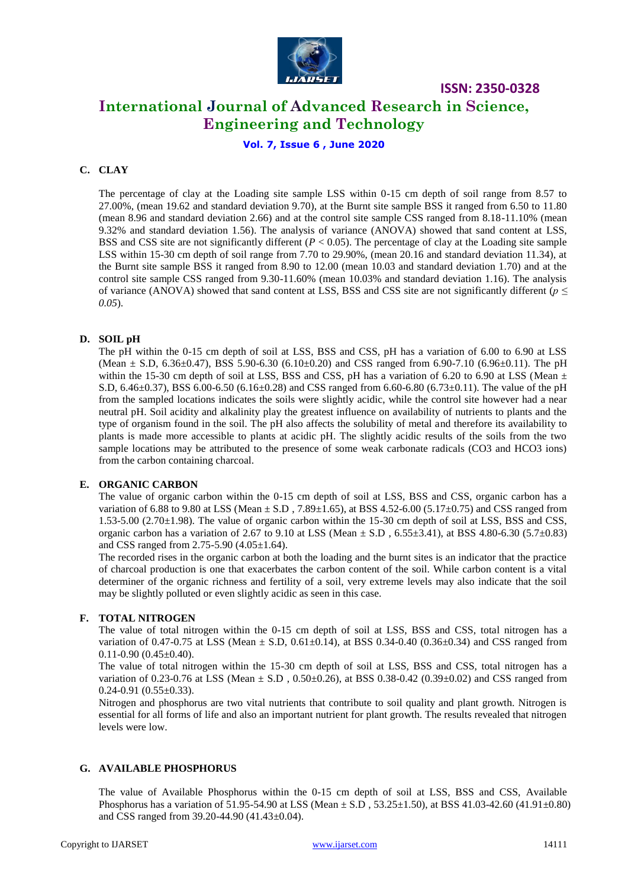

### **International Journal of Advanced Research in Science, Engineering and Technology**

**Vol. 7, Issue 6 , June 2020**

### **C. CLAY**

The percentage of clay at the Loading site sample LSS within 0-15 cm depth of soil range from 8.57 to 27.00%, (mean 19.62 and standard deviation 9.70), at the Burnt site sample BSS it ranged from 6.50 to 11.80 (mean 8.96 and standard deviation 2.66) and at the control site sample CSS ranged from 8.18-11.10% (mean 9.32% and standard deviation 1.56). The analysis of variance (ANOVA) showed that sand content at LSS, BSS and CSS site are not significantly different (*P* < 0.05). The percentage of clay at the Loading site sample LSS within 15-30 cm depth of soil range from 7.70 to 29.90%, (mean 20.16 and standard deviation 11.34), at the Burnt site sample BSS it ranged from 8.90 to 12.00 (mean 10.03 and standard deviation 1.70) and at the control site sample CSS ranged from 9.30-11.60% (mean 10.03% and standard deviation 1.16). The analysis of variance (ANOVA) showed that sand content at LSS, BSS and CSS site are not significantly different (*p ≤ 0.05*).

### **D. SOIL pH**

The pH within the 0-15 cm depth of soil at LSS, BSS and CSS, pH has a variation of 6.00 to 6.90 at LSS (Mean  $\pm$  S.D, 6.36 $\pm$ 0.47), BSS 5.90-6.30 (6.10 $\pm$ 0.20) and CSS ranged from 6.90-7.10 (6.96 $\pm$ 0.11). The pH within the 15-30 cm depth of soil at LSS, BSS and CSS, pH has a variation of 6.20 to 6.90 at LSS (Mean  $\pm$ S.D, 6.46 $\pm$ 0.37), BSS 6.00-6.50 (6.16 $\pm$ 0.28) and CSS ranged from 6.60-6.80 (6.73 $\pm$ 0.11). The value of the pH from the sampled locations indicates the soils were slightly acidic, while the control site however had a near neutral pH. Soil acidity and alkalinity play the greatest influence on availability of nutrients to plants and the type of organism found in the soil. The pH also affects the solubility of metal and therefore its availability to plants is made more accessible to plants at acidic pH. The slightly acidic results of the soils from the two sample locations may be attributed to the presence of some weak carbonate radicals (CO3 and HCO3 ions) from the carbon containing charcoal.

### **E. ORGANIC CARBON**

The value of organic carbon within the 0-15 cm depth of soil at LSS, BSS and CSS, organic carbon has a variation of 6.88 to 9.80 at LSS (Mean  $\pm$  S.D, 7.89 $\pm$ 1.65), at BSS 4.52-6.00 (5.17 $\pm$ 0.75) and CSS ranged from 1.53-5.00 (2.70±1.98). The value of organic carbon within the 15-30 cm depth of soil at LSS, BSS and CSS, organic carbon has a variation of 2.67 to 9.10 at LSS (Mean  $\pm$  S.D, 6.55 $\pm$ 3.41), at BSS 4.80-6.30 (5.7 $\pm$ 0.83) and CSS ranged from 2.75-5.90 (4.05±1.64).

The recorded rises in the organic carbon at both the loading and the burnt sites is an indicator that the practice of charcoal production is one that exacerbates the carbon content of the soil. While carbon content is a vital determiner of the organic richness and fertility of a soil, very extreme levels may also indicate that the soil may be slightly polluted or even slightly acidic as seen in this case.

### **F. TOTAL NITROGEN**

The value of total nitrogen within the 0-15 cm depth of soil at LSS, BSS and CSS, total nitrogen has a variation of 0.47-0.75 at LSS (Mean  $\pm$  S.D, 0.61 $\pm$ 0.14), at BSS 0.34-0.40 (0.36 $\pm$ 0.34) and CSS ranged from  $0.11 - 0.90$   $(0.45 \pm 0.40)$ .

The value of total nitrogen within the 15-30 cm depth of soil at LSS, BSS and CSS, total nitrogen has a variation of 0.23-0.76 at LSS (Mean ± S.D , 0.50±0.26), at BSS 0.38-0.42 (0.39±0.02) and CSS ranged from  $0.24 - 0.91$   $(0.55 \pm 0.33)$ .

Nitrogen and phosphorus are two vital nutrients that contribute to soil quality and plant growth. Nitrogen is essential for all forms of life and also an important nutrient for plant growth. The results revealed that nitrogen levels were low.

### **G. AVAILABLE PHOSPHORUS**

The value of Available Phosphorus within the 0-15 cm depth of soil at LSS, BSS and CSS, Available Phosphorus has a variation of 51.95-54.90 at LSS (Mean  $\pm$  S.D, 53.25 $\pm$ 1.50), at BSS 41.03-42.60 (41.91 $\pm$ 0.80) and CSS ranged from 39.20-44.90 (41.43±0.04).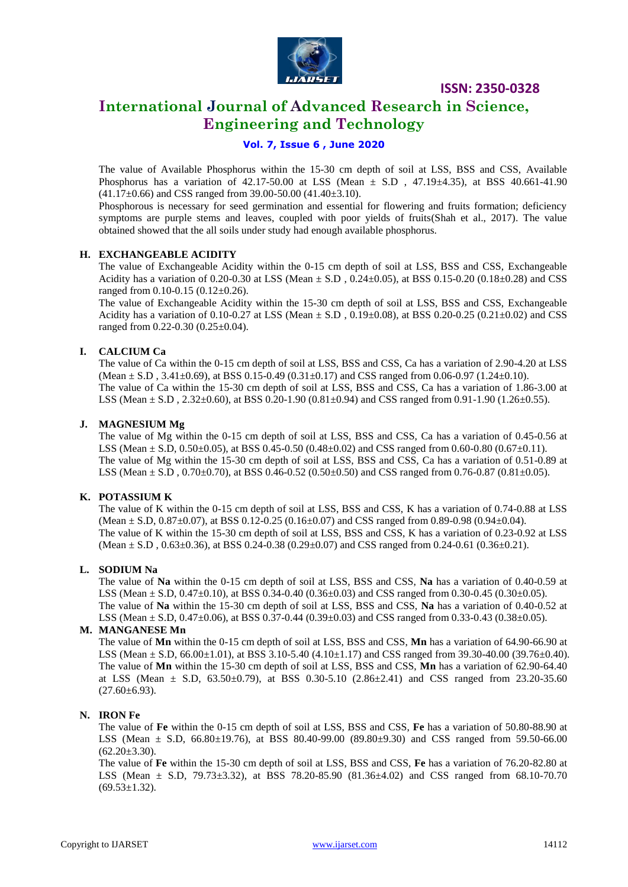

### **International Journal of Advanced Research in Science, Engineering and Technology**

### **Vol. 7, Issue 6 , June 2020**

The value of Available Phosphorus within the 15-30 cm depth of soil at LSS, BSS and CSS, Available Phosphorus has a variation of 42.17-50.00 at LSS (Mean  $\pm$  S.D , 47.19 $\pm$ 4.35), at BSS 40.661-41.90  $(41.17\pm0.66)$  and CSS ranged from 39.00-50.00  $(41.40\pm3.10)$ .

Phosphorous is necessary for seed germination and essential for flowering and fruits formation; deficiency symptoms are purple stems and leaves, coupled with poor yields of fruits(Shah et al., 2017). The value obtained showed that the all soils under study had enough available phosphorus.

### **H. EXCHANGEABLE ACIDITY**

The value of Exchangeable Acidity within the 0-15 cm depth of soil at LSS, BSS and CSS, Exchangeable Acidity has a variation of 0.20-0.30 at LSS (Mean  $\pm$  S.D, 0.24 $\pm$ 0.05), at BSS 0.15-0.20 (0.18 $\pm$ 0.28) and CSS ranged from 0.10-0.15 (0.12±0.26).

The value of Exchangeable Acidity within the 15-30 cm depth of soil at LSS, BSS and CSS, Exchangeable Acidity has a variation of 0.10-0.27 at LSS (Mean  $\pm$  S.D, 0.19 $\pm$ 0.08), at BSS 0.20-0.25 (0.21 $\pm$ 0.02) and CSS ranged from 0.22-0.30 (0.25±0.04).

### **I. CALCIUM Ca**

The value of Ca within the 0-15 cm depth of soil at LSS, BSS and CSS, Ca has a variation of 2.90-4.20 at LSS (Mean  $\pm$  S.D, 3.41 $\pm$ 0.69), at BSS 0.15-0.49 (0.31 $\pm$ 0.17) and CSS ranged from 0.06-0.97 (1.24 $\pm$ 0.10). The value of Ca within the 15-30 cm depth of soil at LSS, BSS and CSS, Ca has a variation of 1.86-3.00 at LSS (Mean  $\pm$  S.D, 2.32 $\pm$ 0.60), at BSS 0.20-1.90 (0.81 $\pm$ 0.94) and CSS ranged from 0.91-1.90 (1.26 $\pm$ 0.55).

### **J. MAGNESIUM Mg**

The value of Mg within the 0-15 cm depth of soil at LSS, BSS and CSS, Ca has a variation of 0.45-0.56 at LSS (Mean  $\pm$  S.D, 0.50 $\pm$ 0.05), at BSS 0.45-0.50 (0.48 $\pm$ 0.02) and CSS ranged from 0.60-0.80 (0.67 $\pm$ 0.11). The value of Mg within the 15-30 cm depth of soil at LSS, BSS and CSS, Ca has a variation of 0.51-0.89 at LSS (Mean  $\pm$  S.D, 0.70 $\pm$ 0.70), at BSS 0.46-0.52 (0.50 $\pm$ 0.50) and CSS ranged from 0.76-0.87 (0.81 $\pm$ 0.05).

### **K. POTASSIUM K**

The value of K within the 0-15 cm depth of soil at LSS, BSS and CSS, K has a variation of 0.74-0.88 at LSS (Mean  $\pm$  S.D, 0.87 $\pm$ 0.07), at BSS 0.12-0.25 (0.16 $\pm$ 0.07) and CSS ranged from 0.89-0.98 (0.94 $\pm$ 0.04). The value of K within the 15-30 cm depth of soil at LSS, BSS and CSS, K has a variation of 0.23-0.92 at LSS (Mean ± S.D , 0.63±0.36), at BSS 0.24-0.38 (0.29±0.07) and CSS ranged from 0.24-0.61 (0.36±0.21).

### **L. SODIUM Na**

The value of **Na** within the 0-15 cm depth of soil at LSS, BSS and CSS, **Na** has a variation of 0.40-0.59 at LSS (Mean  $\pm$  S.D, 0.47 $\pm$ 0.10), at BSS 0.34-0.40 (0.36 $\pm$ 0.03) and CSS ranged from 0.30-0.45 (0.30 $\pm$ 0.05). The value of **Na** within the 15-30 cm depth of soil at LSS, BSS and CSS, **Na** has a variation of 0.40-0.52 at LSS (Mean  $\pm$  S.D, 0.47 $\pm$ 0.06), at BSS 0.37-0.44 (0.39 $\pm$ 0.03) and CSS ranged from 0.33-0.43 (0.38 $\pm$ 0.05).

### **M. MANGANESE Mn**

The value of **Mn** within the 0-15 cm depth of soil at LSS, BSS and CSS, **Mn** has a variation of 64.90-66.90 at LSS (Mean  $\pm$  S.D, 66.00 $\pm$ 1.01), at BSS 3.10-5.40 (4.10 $\pm$ 1.17) and CSS ranged from 39.30-40.00 (39.76 $\pm$ 0.40). The value of **Mn** within the 15-30 cm depth of soil at LSS, BSS and CSS, **Mn** has a variation of 62.90-64.40 at LSS (Mean  $\pm$  S.D, 63.50 $\pm$ 0.79), at BSS 0.30-5.10 (2.86 $\pm$ 2.41) and CSS ranged from 23.20-35.60  $(27.60\pm6.93)$ .

### **N. IRON Fe**

The value of **Fe** within the 0-15 cm depth of soil at LSS, BSS and CSS, **Fe** has a variation of 50.80-88.90 at LSS (Mean ± S.D, 66.80±19.76), at BSS 80.40-99.00 (89.80±9.30) and CSS ranged from 59.50-66.00  $(62.20 \pm 3.30)$ .

The value of **Fe** within the 15-30 cm depth of soil at LSS, BSS and CSS, **Fe** has a variation of 76.20-82.80 at LSS (Mean ± S.D, 79.73±3.32), at BSS 78.20-85.90 (81.36±4.02) and CSS ranged from 68.10-70.70  $(69.53 \pm 1.32)$ .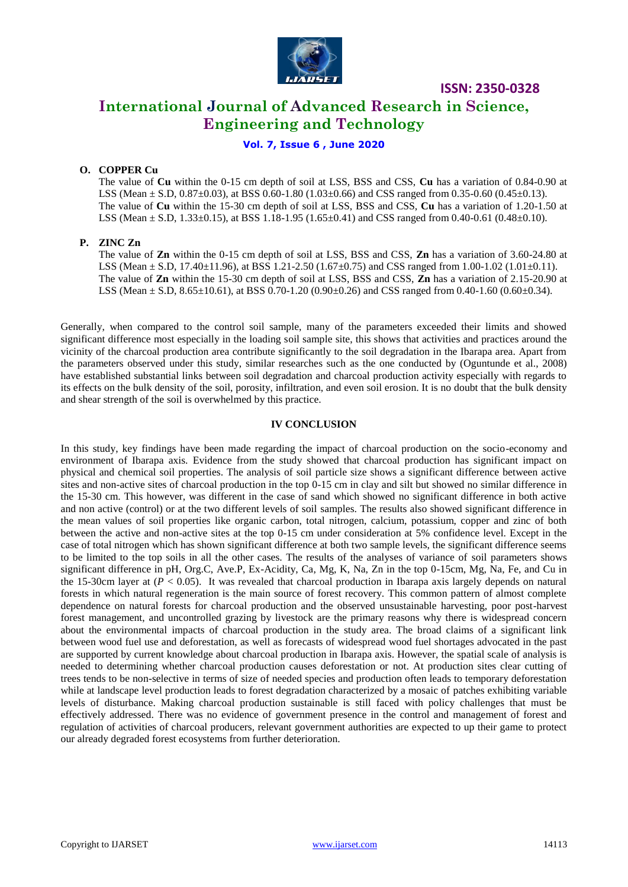

**International Journal of Advanced Research in Science, Engineering and Technology**

### **Vol. 7, Issue 6 , June 2020**

### **O. COPPER Cu**

The value of **Cu** within the 0-15 cm depth of soil at LSS, BSS and CSS, **Cu** has a variation of 0.84-0.90 at LSS (Mean  $\pm$  S.D, 0.87 $\pm$ 0.03), at BSS 0.60-1.80 (1.03 $\pm$ 0.66) and CSS ranged from 0.35-0.60 (0.45 $\pm$ 0.13). The value of **Cu** within the 15-30 cm depth of soil at LSS, BSS and CSS, **Cu** has a variation of 1.20-1.50 at LSS (Mean  $\pm$  S.D, 1.33 $\pm$ 0.15), at BSS 1.18-1.95 (1.65 $\pm$ 0.41) and CSS ranged from 0.40-0.61 (0.48 $\pm$ 0.10).

### **P. ZINC Zn**

The value of **Zn** within the 0-15 cm depth of soil at LSS, BSS and CSS, **Zn** has a variation of 3.60-24.80 at LSS (Mean  $\pm$  S.D, 17.40 $\pm$ 11.96), at BSS 1.21-2.50 (1.67 $\pm$ 0.75) and CSS ranged from 1.00-1.02 (1.01 $\pm$ 0.11). The value of **Zn** within the 15-30 cm depth of soil at LSS, BSS and CSS, **Zn** has a variation of 2.15-20.90 at LSS (Mean  $\pm$  S.D, 8.65 $\pm$ 10.61), at BSS 0.70-1.20 (0.90 $\pm$ 0.26) and CSS ranged from 0.40-1.60 (0.60 $\pm$ 0.34).

Generally, when compared to the control soil sample, many of the parameters exceeded their limits and showed significant difference most especially in the loading soil sample site, this shows that activities and practices around the vicinity of the charcoal production area contribute significantly to the soil degradation in the Ibarapa area. Apart from the parameters observed under this study, similar researches such as the one conducted by (Oguntunde et al., 2008) have established substantial links between soil degradation and charcoal production activity especially with regards to its effects on the bulk density of the soil, porosity, infiltration, and even soil erosion. It is no doubt that the bulk density and shear strength of the soil is overwhelmed by this practice.

### **IV CONCLUSION**

In this study, key findings have been made regarding the impact of charcoal production on the socio-economy and environment of Ibarapa axis. Evidence from the study showed that charcoal production has significant impact on physical and chemical soil properties. The analysis of soil particle size shows a significant difference between active sites and non-active sites of charcoal production in the top 0-15 cm in clay and silt but showed no similar difference in the 15-30 cm. This however, was different in the case of sand which showed no significant difference in both active and non active (control) or at the two different levels of soil samples. The results also showed significant difference in the mean values of soil properties like organic carbon, total nitrogen, calcium, potassium, copper and zinc of both between the active and non-active sites at the top 0-15 cm under consideration at 5% confidence level. Except in the case of total nitrogen which has shown significant difference at both two sample levels, the significant difference seems to be limited to the top soils in all the other cases. The results of the analyses of variance of soil parameters shows significant difference in pH, Org.C, Ave.P, Ex-Acidity, Ca, Mg, K, Na, Zn in the top 0-15cm, Mg, Na, Fe, and Cu in the 15-30cm layer at  $(P < 0.05)$ . It was revealed that charcoal production in Ibarapa axis largely depends on natural forests in which natural regeneration is the main source of forest recovery. This common pattern of almost complete dependence on natural forests for charcoal production and the observed unsustainable harvesting, poor post-harvest forest management, and uncontrolled grazing by livestock are the primary reasons why there is widespread concern about the environmental impacts of charcoal production in the study area. The broad claims of a significant link between wood fuel use and deforestation, as well as forecasts of widespread wood fuel shortages advocated in the past are supported by current knowledge about charcoal production in Ibarapa axis. However, the spatial scale of analysis is needed to determining whether charcoal production causes deforestation or not. At production sites clear cutting of trees tends to be non-selective in terms of size of needed species and production often leads to temporary deforestation while at landscape level production leads to forest degradation characterized by a mosaic of patches exhibiting variable levels of disturbance. Making charcoal production sustainable is still faced with policy challenges that must be effectively addressed. There was no evidence of government presence in the control and management of forest and regulation of activities of charcoal producers, relevant government authorities are expected to up their game to protect our already degraded forest ecosystems from further deterioration.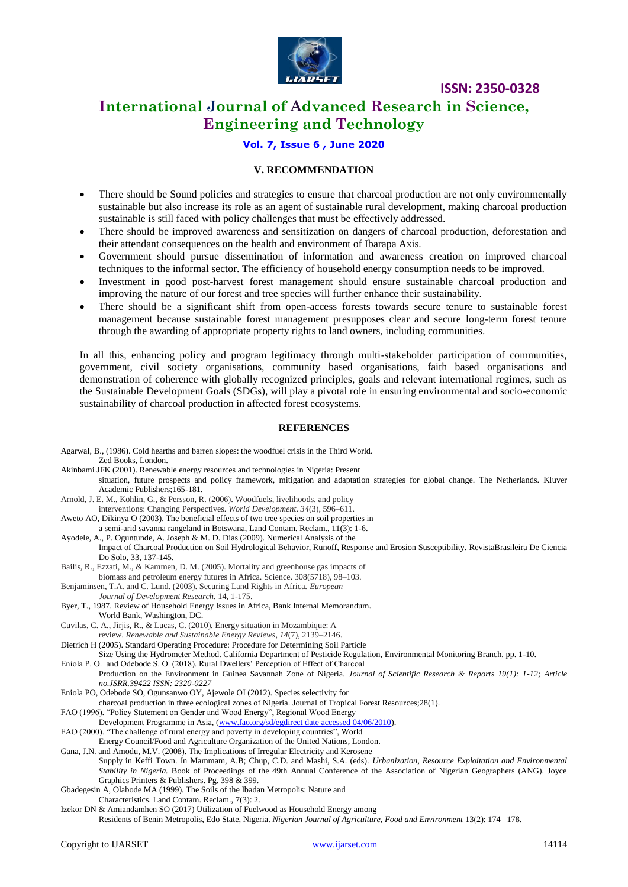

### **International Journal of Advanced Research in Science, Engineering and Technology**

### **Vol. 7, Issue 6 , June 2020**

#### **V. RECOMMENDATION**

- There should be Sound policies and strategies to ensure that charcoal production are not only environmentally sustainable but also increase its role as an agent of sustainable rural development, making charcoal production sustainable is still faced with policy challenges that must be effectively addressed.
- There should be improved awareness and sensitization on dangers of charcoal production, deforestation and their attendant consequences on the health and environment of Ibarapa Axis.
- Government should pursue dissemination of information and awareness creation on improved charcoal techniques to the informal sector. The efficiency of household energy consumption needs to be improved.
- Investment in good post-harvest forest management should ensure sustainable charcoal production and improving the nature of our forest and tree species will further enhance their sustainability.
- There should be a significant shift from open-access forests towards secure tenure to sustainable forest management because sustainable forest management presupposes clear and secure long-term forest tenure through the awarding of appropriate property rights to land owners, including communities.

In all this, enhancing policy and program legitimacy through multi-stakeholder participation of communities, government, civil society organisations, community based organisations, faith based organisations and demonstration of coherence with globally recognized principles, goals and relevant international regimes, such as the Sustainable Development Goals (SDGs), will play a pivotal role in ensuring environmental and socio-economic sustainability of charcoal production in affected forest ecosystems.

#### **REFERENCES**

- Agarwal, B., (1986). Cold hearths and barren slopes: the woodfuel crisis in the Third World. Zed Books, London.
- Akinbami JFK (2001). Renewable energy resources and technologies in Nigeria: Present situation, future prospects and policy framework, mitigation and adaptation strategies for global change. The Netherlands. Kluver Academic Publishers;165-181.
- Arnold, J. E. M., Köhlin, G., & Persson, R. (2006). Woodfuels, livelihoods, and policy
- interventions: Changing Perspectives. *World Development*. *34*(3), 596–611. Aweto AO, Dikinya O (2003). The beneficial effects of two tree species on soil properties in
- a semi-arid savanna rangeland in Botswana, Land Contam. Reclam., 11(3): 1-6.
- Ayodele, A., P. Oguntunde, A. Joseph & M. D. Dias (2009). Numerical Analysis of the

Impact of Charcoal Production on Soil Hydrological Behavior, Runoff, Response and Erosion Susceptibility. RevistaBrasileira De Ciencia Do Solo, 33, 137-145.

Bailis, R., Ezzati, M., & Kammen, D. M. (2005). Mortality and greenhouse gas impacts of

- biomass and petroleum energy futures in Africa. Science. 308(5718), 98–103. Benjaminsen, T.A. and C. Lund. (2003). Securing Land Rights in Africa. *European*
- *Journal of Development Research.* 14, 1-175.

Byer, T., 1987. Review of Household Energy Issues in Africa, Bank Internal Memorandum. World Bank, Washington, DC.

Cuvilas, C. A., Jirjis, R., & Lucas, C. (2010). Energy situation in Mozambique: A

review. *Renewable and Sustainable Energy Reviews*, *14*(7), 2139–2146. Dietrich H (2005). Standard Operating Procedure: Procedure for Determining Soil Particle

Size Using the Hydrometer Method. California Department of Pesticide Regulation, Environmental Monitoring Branch, pp. 1-10. Eniola P. O. and Odebode S. O. (2018). Rural Dwellers' Perception of Effect of Charcoal

Production on the Environment in Guinea Savannah Zone of Nigeria. *Journal of Scientific Research & Reports 19(1): 1-12; Article no.JSRR.39422 ISSN: 2320-0227*

Eniola PO, Odebode SO, Ogunsanwo OY, Ajewole OI (2012). Species selectivity for

charcoal production in three ecological zones of Nigeria. Journal of Tropical Forest Resources;28(1).

FAO (1996). "Policy Statement on Gender and Wood Energy", Regional Wood Energy

Development Programme in Asia, [\(www.fao.org/sd/egdirect date accessed 04/06/2010\)](http://www.fao.org/sd/egdirect%20date%20accessed%2004/06/2010).

FAO (2000). "The challenge of rural energy and poverty in developing countries", World

Energy Council/Food and Agriculture Organization of the United Nations, London.

Gana, J.N. and Amodu, M.V. (2008). The Implications of Irregular Electricity and Kerosene

Supply in Keffi Town. In Mammam, A.B; Chup, C.D. and Mashi, S.A. (eds). *Urbanization, Resource Exploitation and Environmental Stability in Nigeria.* Book of Proceedings of the 49th Annual Conference of the Association of Nigerian Geographers (ANG). Joyce Graphics Printers & Publishers. Pg. 398 & 399.

Gbadegesin A, Olabode MA (1999). The Soils of the Ibadan Metropolis: Nature and

Characteristics. Land Contam. Reclam., 7(3): 2.

Izekor DN & Amiandamhen SO (2017) Utilization of Fuelwood as Household Energy among

Residents of Benin Metropolis, Edo State, Nigeria. *Nigerian Journal of Agriculture, Food and Environment* 13(2): 174– 178.